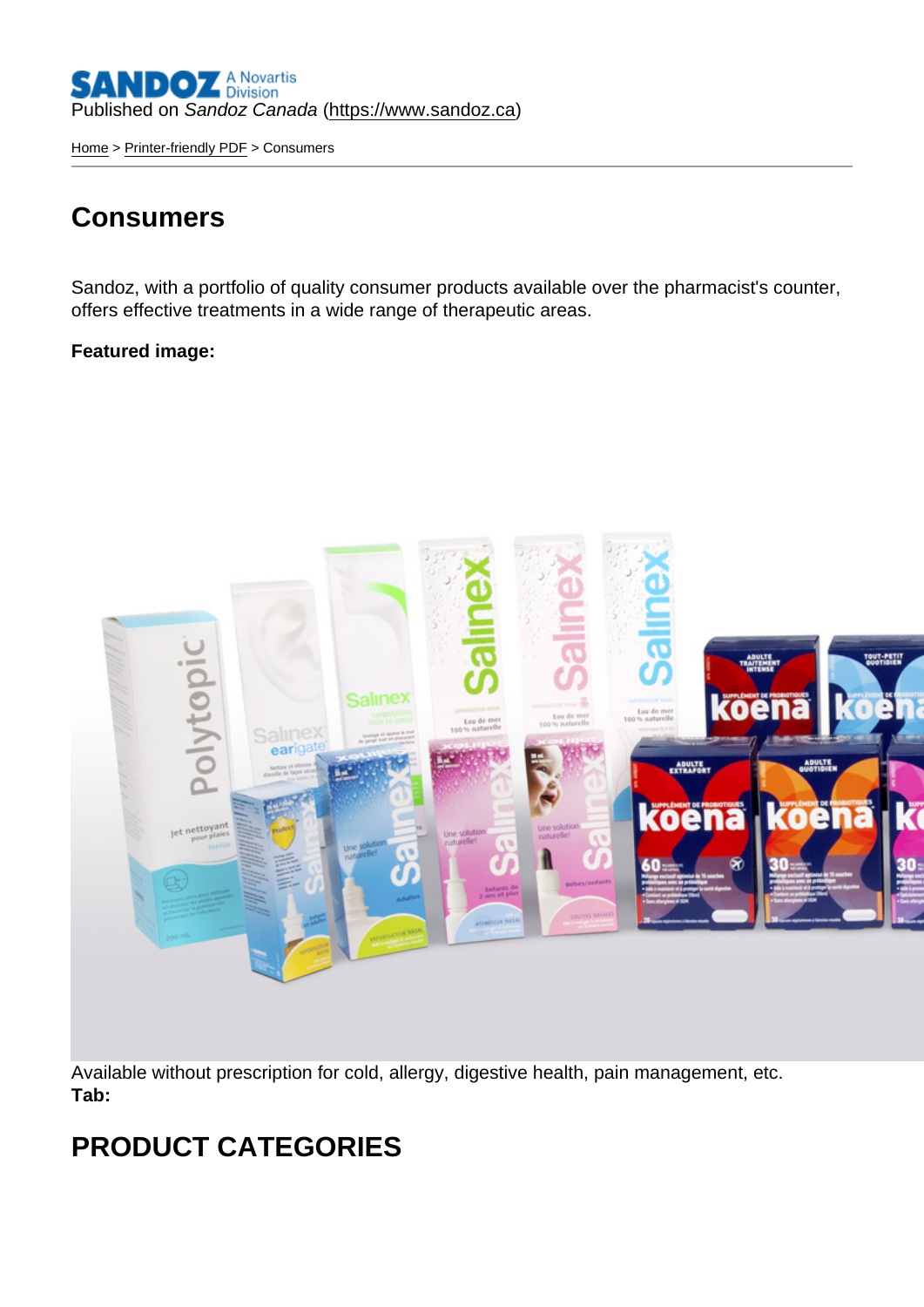[Home](https://www.sandoz.ca/en) > [Printer-friendly PDF](https://www.sandoz.ca/en/printpdf) > Consumers

## **Consumers**

Sandoz, with a portfolio of quality consumer products available over the pharmacist's counter, offers effective treatments in a wide range of therapeutic areas.

Featured image :

Available without prescription for cold, allergy, digestive health, pain management, etc. Tab:

## PRODUCT CATEGORIES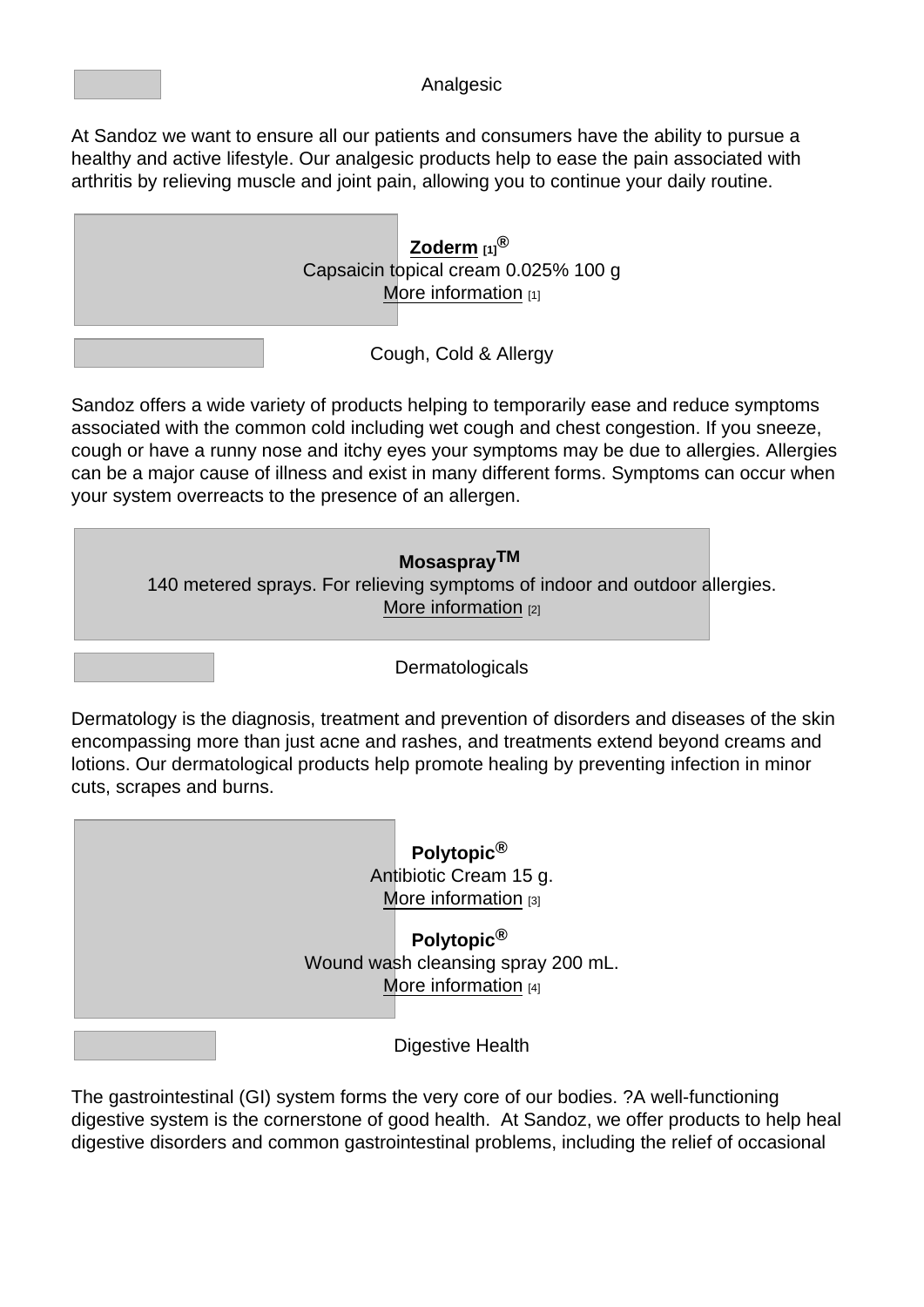## Analgesic

At Sandoz we want to ensure all our patients and consumers have the ability to pursue a healthy and active lifestyle. Our analgesic products help to ease the pain associated with arthritis by relieving muscle and joint pain, allowing you to continue your daily routine.



Sandoz offers a wide variety of products helping to temporarily ease and reduce symptoms associated with the common cold including wet cough and chest congestion. If you sneeze, cough or have a runny nose and itchy eyes your symptoms may be due to allergies. Allergies can be a major cause of illness and exist in many different forms. Symptoms can occur when your system overreacts to the presence of an allergen.



Dermatology is the diagnosis, treatment and prevention of disorders and diseases of the skin encompassing more than just acne and rashes, and treatments extend beyond creams and lotions. Our dermatological products help promote healing by preventing infection in minor cuts, scrapes and burns.



The gastrointestinal (GI) system forms the very core of our bodies. ?A well-functioning digestive system is the cornerstone of good health. At Sandoz, we offer products to help heal digestive disorders and common gastrointestinal problems, including the relief of occasional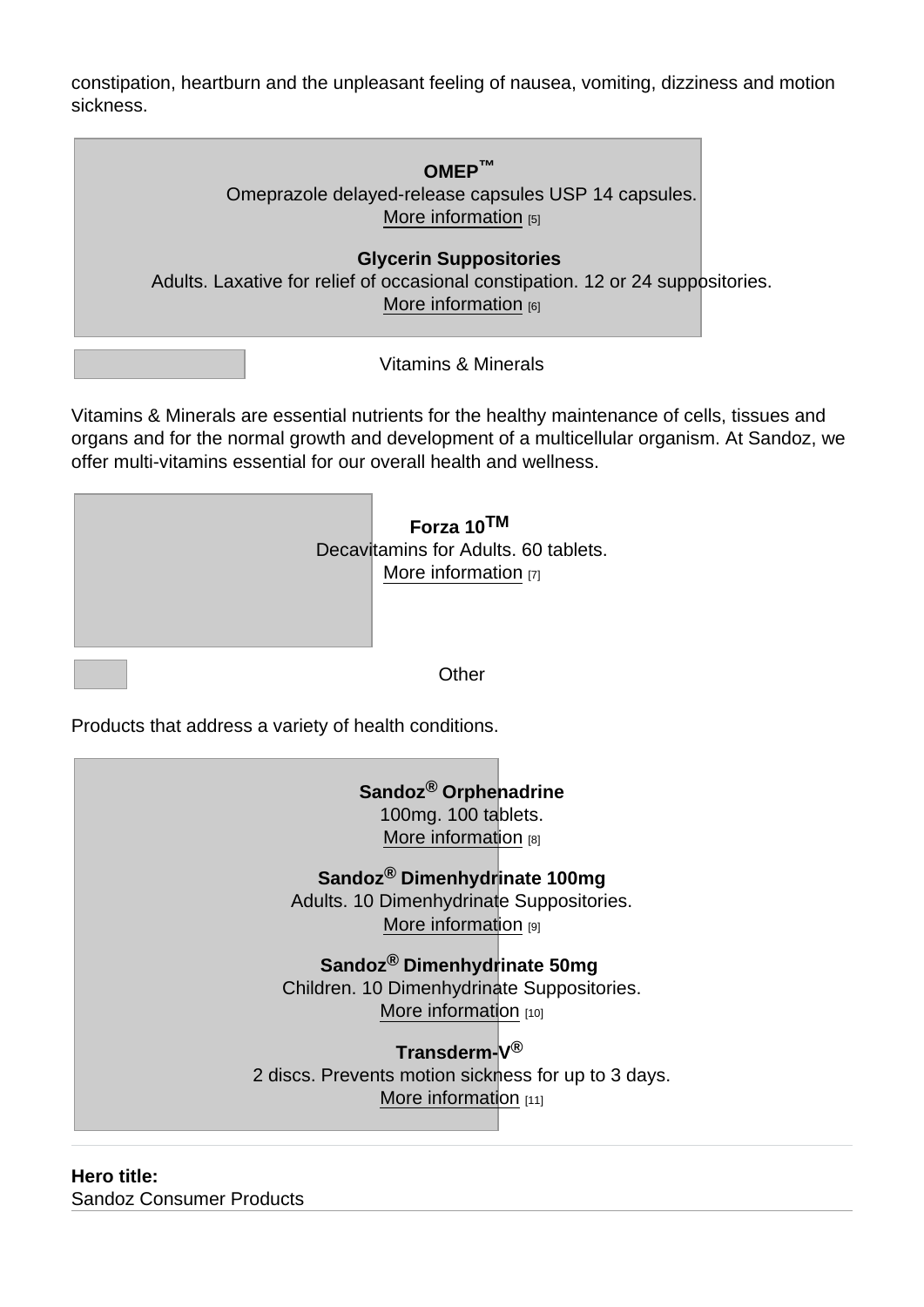constipation, heartburn and the unpleasant feeling of nausea, vomiting, dizziness and motion sickness.



Vitamins & Minerals are essential nutrients for the healthy maintenance of cells, tissues and organs and for the normal growth and development of a multicellular organism. At Sandoz, we offer multi-vitamins essential for our overall health and wellness.

| Forza 10TM<br>Decavitamins for Adults. 60 tablets.<br>More information $[7]$ |
|------------------------------------------------------------------------------|
|                                                                              |

Products that address a variety of health conditions.

Sandoz ® Orphenadrine 100mg. 100 tablets. [More information](https://www.sandoz.ca/en/sandozrorphenadrine-100mg-100-tablets) [8]

Sandoz ® Dimenhydrinate 100mg Adults. 10 Dimenhydrinate Suppositories. [More information](https://www.sandoz.ca/en/sandozr-dimenhydrinate-100mg-adults-10-dimenhydrinate-suppositories) [9]

Sandoz ® Dimenhydrinate 50mg Children. 10 Dimenhydrinate Suppositories. [More information](https://www.sandoz.ca/en/sandozr-dimenhydrinate-50mg-children-10-dimenhydrinate-suppositories) [10]

Transderm-V<sup>®</sup> 2 discs. Prevents motion sickness for up to 3 days. [More information](https://www.sandoz.ca/en/node/21766) [11]

Hero title : Sandoz Consumer Products